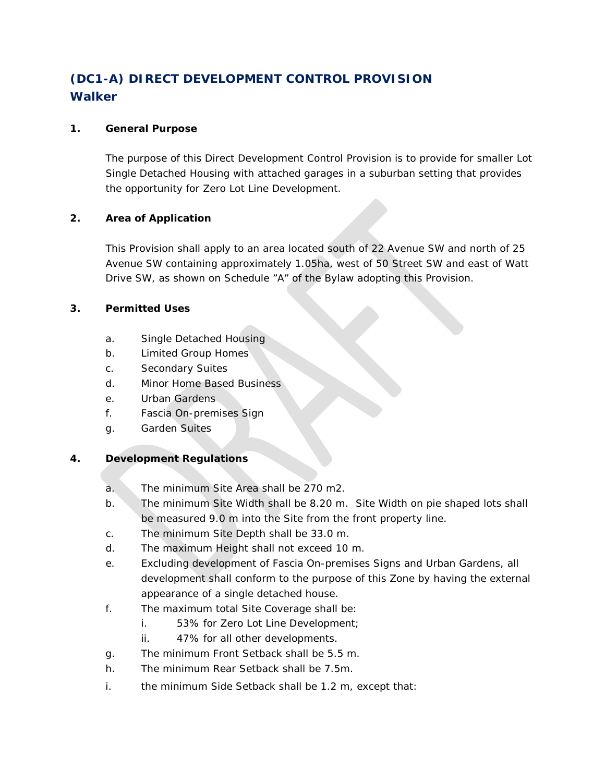# **(DC1-A) DIRECT DEVELOPMENT CONTROL PROVISION Walker**

### **1. General Purpose**

The purpose of this Direct Development Control Provision is to provide for smaller Lot Single Detached Housing with attached garages in a suburban setting that provides the opportunity for Zero Lot Line Development.

### **2. Area of Application**

This Provision shall apply to an area located south of 22 Avenue SW and north of 25 Avenue SW containing approximately 1.05ha, west of 50 Street SW and east of Watt Drive SW, as shown on Schedule "A" of the Bylaw adopting this Provision.

### **3. Permitted Uses**

- a. Single Detached Housing
- b. Limited Group Homes
- c. Secondary Suites
- d. Minor Home Based Business
- e. Urban Gardens
- f. Fascia On-premises Sign
- g. Garden Suites

## **4. Development Regulations**

- a. The minimum Site Area shall be 270 m2.
- b. The minimum Site Width shall be 8.20 m. Site Width on pie shaped lots shall be measured 9.0 m into the Site from the front property line.
- c. The minimum Site Depth shall be 33.0 m.
- d. The maximum Height shall not exceed 10 m.
- e. Excluding development of Fascia On-premises Signs and Urban Gardens, all development shall conform to the purpose of this Zone by having the external appearance of a single detached house.
- f. The maximum total Site Coverage shall be:
	- i. 53% for Zero Lot Line Development;
	- ii. 47% for all other developments.
- g. The minimum Front Setback shall be 5.5 m.
- h. The minimum Rear Setback shall be 7.5m.
- i. the minimum Side Setback shall be [1.2 m,](https://webdocs.edmonton.ca/InfraPlan/zoningbylaw/ZoningBylaw/Measurements/im1_2.htm) except that: